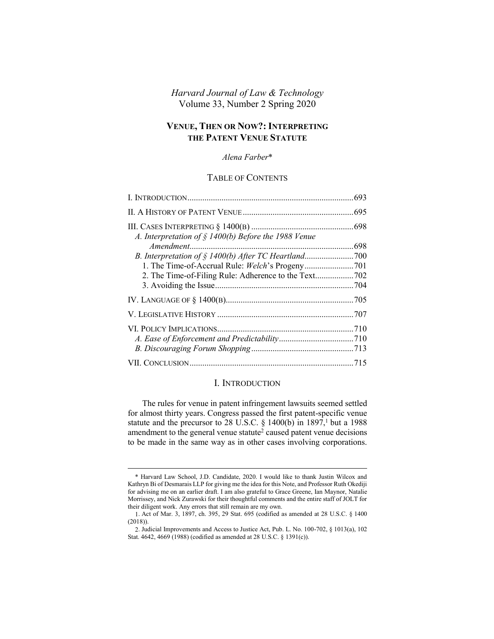# *Harvard Journal of Law & Technology* Volume 33, Number 2 Spring 2020

# **VENUE, THEN OR NOW?: INTERPRETING THE PATENT VENUE STATUTE**

### *Alena Farber*\*

## TABLE OF CONTENTS

| A. Interpretation of § 1400(b) Before the 1988 Venue |  |
|------------------------------------------------------|--|
|                                                      |  |
|                                                      |  |
|                                                      |  |
|                                                      |  |
|                                                      |  |
|                                                      |  |
|                                                      |  |
|                                                      |  |
|                                                      |  |
|                                                      |  |
|                                                      |  |

#### <span id="page-0-0"></span>I. INTRODUCTION

The rules for venue in patent infringement lawsuits seemed settled for almost thirty years. Congress passed the first patent-specific venue statute and the precursor to 28 U.S.C.  $\S$  1400(b) in 1897,<sup>1</sup> but a 1988 amendment to the general venue statute<sup>2</sup> caused patent venue decisions to be made in the same way as in other cases involving corporations.

<sup>\*</sup> Harvard Law School, J.D. Candidate, 2020. I would like to thank Justin Wilcox and Kathryn Bi of Desmarais LLP for giving me the idea for this Note, and Professor Ruth Okediji for advising me on an earlier draft. I am also grateful to Grace Greene, Ian Maynor, Natalie Morrissey, and Nick Zurawski for their thoughtful comments and the entire staff of JOLT for their diligent work. Any errors that still remain are my own.

<sup>1.</sup> Act of Mar. 3, 1897, ch. 395, 29 Stat. 695 (codified as amended at 28 U.S.C. § 1400 (2018)).

<sup>2.</sup> Judicial Improvements and Access to Justice Act, Pub. L. No. 100-702, § 1013(a), 102 Stat. 4642, 4669 (1988) (codified as amended at 28 U.S.C. § 1391(c)).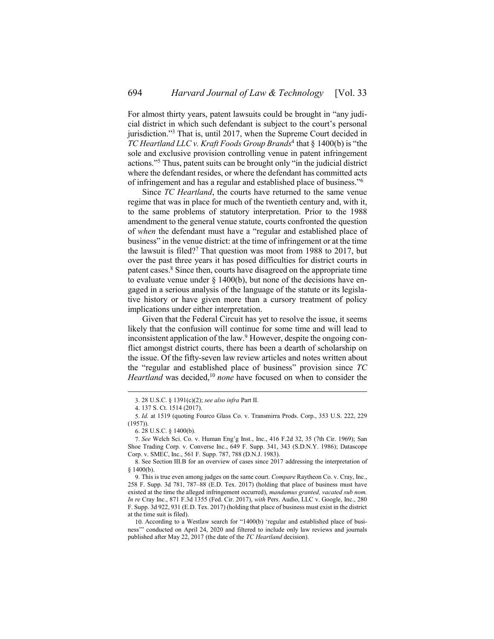For almost thirty years, patent lawsuits could be brought in "any judicial district in which such defendant is subject to the court's personal jurisdiction." <sup>3</sup> That is, until 2017, when the Supreme Court decided in *TC Heartland LLC v. Kraft Foods Group Brands*<sup>4</sup> that § 1400(b) is "the sole and exclusive provision controlling venue in patent infringement actions." <sup>5</sup> Thus, patent suits can be brought only "in the judicial district where the defendant resides, or where the defendant has committed acts of infringement and has a regular and established place of business." 6

Since *TC Heartland*, the courts have returned to the same venue regime that was in place for much of the twentieth century and, with it, to the same problems of statutory interpretation. Prior to the 1988 amendment to the general venue statute, courts confronted the question of *when* the defendant must have a "regular and established place of business" in the venue district: at the time of infringement or at the time the lawsuit is filed?<sup>7</sup> That question was moot from 1988 to 2017, but over the past three years it has posed difficulties for district courts in patent cases.<sup>8</sup> Since then, courts have disagreed on the appropriate time to evaluate venue under  $\S$  1400(b), but none of the decisions have engaged in a serious analysis of the language of the statute or its legislative history or have given more than a cursory treatment of policy implications under either interpretation.

Given that the Federal Circuit has yet to resolve the issue, it seems likely that the confusion will continue for some time and will lead to inconsistent application of the law.<sup>9</sup> However, despite the ongoing conflict amongst district courts, there has been a dearth of scholarship on the issue. Of the fifty-seven law review articles and notes written about the "regular and established place of business" provision since *TC Heartland* was decided,<sup>10</sup> *none* have focused on when to consider the

<sup>3.</sup> 28 U.S.C. § 1391(c)(2); *see also infra* Part [II.](#page-2-0)

<sup>4.</sup> 137 S. Ct. 1514 (2017).

<sup>5.</sup> *Id.* at 1519 (quoting Fourco Glass Co. v. Transmirra Prods. Corp., 353 U.S. 222, 229 (1957)).

<sup>6.</sup> 28 U.S.C. § 1400(b).

<sup>7.</sup> *See* Welch Sci. Co. v. Human Eng'g Inst., Inc., 416 F.2d 32, 35 (7th Cir. 1969); San Shoe Trading Corp. v. Converse Inc., 649 F. Supp. 341, 343 (S.D.N.Y. 1986); Datascope Corp. v. SMEC, Inc., 561 F. Supp. 787, 788 (D.N.J. 1983).

<sup>8.</sup> See Section [III.](#page-5-0)[B](#page-7-0) for an overview of cases since 2017 addressing the interpretation of § 1400(b).

<sup>9.</sup> This is true even among judges on the same court. *Compare* Raytheon Co. v. Cray, Inc., 258 F. Supp. 3d 781, 787–88 (E.D. Tex. 2017) (holding that place of business must have existed at the time the alleged infringement occurred), *mandamus granted, vacated sub nom. In re* Cray Inc., 871 F.3d 1355 (Fed. Cir. 2017), *with* Pers. Audio, LLC v. Google, Inc., 280 F. Supp. 3d 922, 931 (E.D. Tex. 2017) (holding that place of business must exist in the district at the time suit is filed).

<sup>10.</sup> According to a Westlaw search for "1400(b) 'regular and established place of business'" conducted on April 24, 2020 and filtered to include only law reviews and journals published after May 22, 2017 (the date of the *TC Heartland* decision).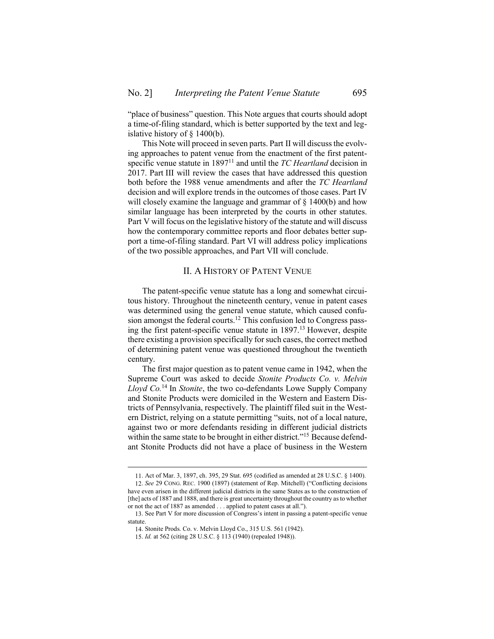"place of business" question. This Note argues that courts should adopt a time-of-filing standard, which is better supported by the text and legislative history of § 1400(b).

This Note will proceed in seven parts. Part [II](#page-2-0) will discuss the evolving approaches to patent venue from the enactment of the first patentspecific venue statute in 1897<sup>11</sup> and until the *TC Heartland* decision in 2017. Part [III](#page-5-0) will review the cases that have addressed this question both before the 1988 venue amendments and after the *TC Heartland* decision and will explore trends in the outcomes of those cases. Part [IV](#page-12-0) will closely examine the language and grammar of  $\S$  1400(b) and how similar language has been interpreted by the courts in other statutes. Part [V](#page-14-0) will focus on the legislative history of the statute and will discuss how the contemporary committee reports and floor debates better support a time-of-filing standard. Part [VI](#page-17-0) will address policy implications of the two possible approaches, and Part [VII](#page-22-0) will conclude.

## II. A HISTORY OF PATENT VENUE

<span id="page-2-0"></span>The patent-specific venue statute has a long and somewhat circuitous history. Throughout the nineteenth century, venue in patent cases was determined using the general venue statute, which caused confusion amongst the federal courts.<sup>12</sup> This confusion led to Congress passing the first patent-specific venue statute in 1897.<sup>13</sup> However, despite there existing a provision specifically for such cases, the correct method of determining patent venue was questioned throughout the twentieth century.

The first major question as to patent venue came in 1942, when the Supreme Court was asked to decide *Stonite Products Co. v. Melvin Lloyd Co.*<sup>14</sup> In *Stonite*, the two co-defendants Lowe Supply Company and Stonite Products were domiciled in the Western and Eastern Districts of Pennsylvania, respectively. The plaintiff filed suit in the Western District, relying on a statute permitting "suits, not of a local nature, against two or more defendants residing in different judicial districts within the same state to be brought in either district."<sup>15</sup> Because defendant Stonite Products did not have a place of business in the Western

<sup>11.</sup> Act of Mar. 3, 1897, ch. 395, 29 Stat. 695 (codified as amended at 28 U.S.C. § 1400). 12. *See* 29 CONG. REC. 1900 (1897) (statement of Rep. Mitchell) ("Conflicting decisions have even arisen in the different judicial districts in the same States as to the construction of [the] acts of 1887 and 1888, and there is great uncertainty throughout the country as to whether or not the act of 1887 as amended . . . applied to patent cases at all.").

<sup>13.</sup> See Part [V](#page-14-0) for more discussion of Congress's intent in passing a patent-specific venue statute.

<sup>14.</sup> Stonite Prods. Co. v. Melvin Lloyd Co., 315 U.S. 561 (1942).

<sup>15.</sup> *Id.* at 562 (citing 28 U.S.C. § 113 (1940) (repealed 1948)).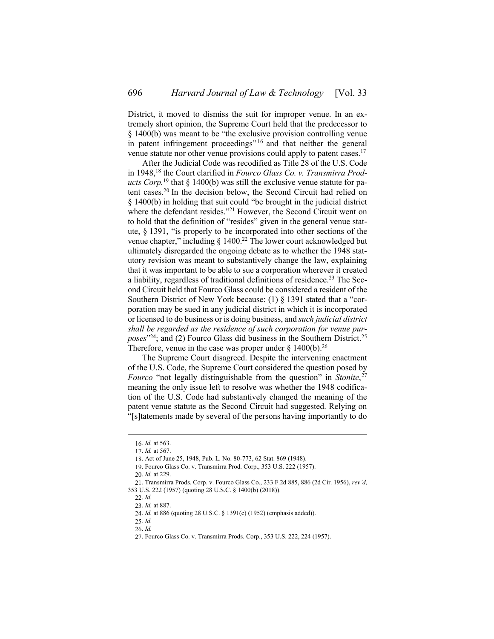District, it moved to dismiss the suit for improper venue. In an extremely short opinion, the Supreme Court held that the predecessor to § 1400(b) was meant to be "the exclusive provision controlling venue in patent infringement proceedings"<sup>16</sup> and that neither the general venue statute nor other venue provisions could apply to patent cases.<sup>17</sup>

After the Judicial Code was recodified as Title 28 of the U.S. Code in 1948,<sup>18</sup> the Court clarified in *Fourco Glass Co. v. Transmirra Products Corp.*<sup>19</sup> that § 1400(b) was still the exclusive venue statute for patent cases.<sup>20</sup> In the decision below, the Second Circuit had relied on § 1400(b) in holding that suit could "be brought in the judicial district where the defendant resides."<sup>21</sup> However, the Second Circuit went on to hold that the definition of "resides" given in the general venue statute, § 1391, "is properly to be incorporated into other sections of the venue chapter," including  $\S$  1400.<sup>22</sup> The lower court acknowledged but ultimately disregarded the ongoing debate as to whether the 1948 statutory revision was meant to substantively change the law, explaining that it was important to be able to sue a corporation wherever it created a liability, regardless of traditional definitions of residence.<sup>23</sup> The Second Circuit held that Fourco Glass could be considered a resident of the Southern District of New York because: (1) § 1391 stated that a "corporation may be sued in any judicial district in which it is incorporated or licensed to do business or is doing business, and *such judicial district shall be regarded as the residence of such corporation for venue pur*poses<sup>"24</sup>; and (2) Fourco Glass did business in the Southern District.<sup>25</sup> Therefore, venue in the case was proper under  $\S$  1400(b).<sup>26</sup>

The Supreme Court disagreed. Despite the intervening enactment of the U.S. Code, the Supreme Court considered the question posed by *Fourco* "not legally distinguishable from the question" in *Stonite*, 27 meaning the only issue left to resolve was whether the 1948 codification of the U.S. Code had substantively changed the meaning of the patent venue statute as the Second Circuit had suggested. Relying on "[s]tatements made by several of the persons having importantly to do

<sup>16.</sup> *Id.* at 563.

<sup>17.</sup> *Id.* at 567.

<sup>18.</sup> Act of June 25, 1948, Pub. L. No. 80-773, 62 Stat. 869 (1948).

<sup>19.</sup> Fourco Glass Co. v. Transmirra Prod. Corp., 353 U.S. 222 (1957).

<sup>20.</sup> *Id.* at 229.

<sup>21.</sup> Transmirra Prods. Corp. v. Fourco Glass Co., 233 F.2d 885, 886 (2d Cir. 1956), *rev'd*, 353 U.S. 222 (1957) (quoting 28 U.S.C. § 1400(b) (2018)).

<sup>22.</sup> *Id.*

<sup>23.</sup> *Id.* at 887.

<sup>24.</sup> *Id.* at 886 (quoting 28 U.S.C. § 1391(c) (1952) (emphasis added)).

<sup>25.</sup> *Id.*

<sup>26.</sup> *Id.*

<sup>27.</sup> Fourco Glass Co. v. Transmirra Prods. Corp., 353 U.S. 222, 224 (1957).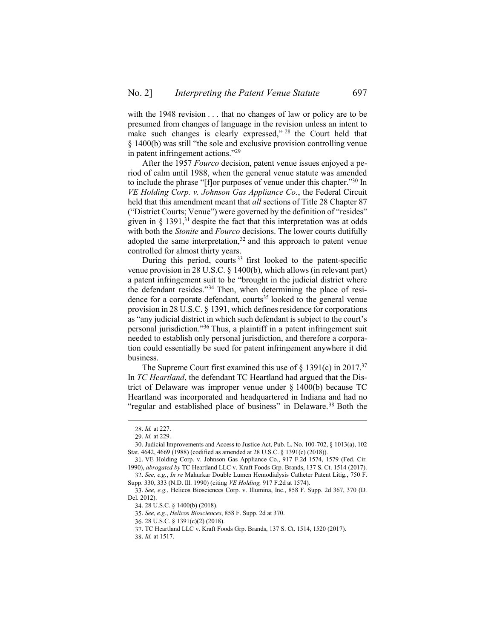with the 1948 revision . . . that no changes of law or policy are to be presumed from changes of language in the revision unless an intent to make such changes is clearly expressed,"<sup>28</sup> the Court held that § 1400(b) was still "the sole and exclusive provision controlling venue in patent infringement actions."<sup>29</sup>

After the 1957 *Fourco* decision, patent venue issues enjoyed a period of calm until 1988, when the general venue statute was amended to include the phrase "[f]or purposes of venue under this chapter." <sup>30</sup> In *VE Holding Corp. v. Johnson Gas Appliance Co.*, the Federal Circuit held that this amendment meant that *all* sections of Title 28 Chapter 87 ("District Courts; Venue") were governed by the definition of "resides" given in  $\S$  1391,<sup>31</sup> despite the fact that this interpretation was at odds with both the *Stonite* and *Fourco* decisions. The lower courts dutifully adopted the same interpretation,  $32$  and this approach to patent venue controlled for almost thirty years.

During this period, courts<sup>33</sup> first looked to the patent-specific venue provision in 28 U.S.C. § 1400(b), which allows (in relevant part) a patent infringement suit to be "brought in the judicial district where the defendant resides."<sup>34</sup> Then, when determining the place of residence for a corporate defendant, courts<sup>35</sup> looked to the general venue provision in 28 U.S.C. § 1391, which defines residence for corporations as "any judicial district in which such defendant is subject to the court's personal jurisdiction." <sup>36</sup> Thus, a plaintiff in a patent infringement suit needed to establish only personal jurisdiction, and therefore a corporation could essentially be sued for patent infringement anywhere it did business.

The Supreme Court first examined this use of § 1391(c) in 2017.<sup>37</sup> In *TC Heartland*, the defendant TC Heartland had argued that the District of Delaware was improper venue under § 1400(b) because TC Heartland was incorporated and headquartered in Indiana and had no "regular and established place of business" in Delaware.<sup>38</sup> Both the

<sup>28.</sup> *Id.* at 227.

<sup>29.</sup> *Id.* at 229.

<sup>30.</sup> Judicial Improvements and Access to Justice Act, Pub. L. No. 100-702, § 1013(a), 102 Stat. 4642, 4669 (1988) (codified as amended at 28 U.S.C. § 1391(c) (2018)).

<sup>31.</sup> VE Holding Corp. v. Johnson Gas Appliance Co., 917 F.2d 1574, 1579 (Fed. Cir. 1990), *abrogated by* TC Heartland LLC v. Kraft Foods Grp. Brands, 137 S. Ct. 1514 (2017).

<sup>32.</sup> *See, e.g.*, *In re* Mahurkar Double Lumen Hemodialysis Catheter Patent Litig., 750 F. Supp. 330, 333 (N.D. Ill. 1990) (citing *VE Holding,* 917 F.2d at 1574).

<sup>33.</sup> *See, e.g.*, Helicos Biosciences Corp. v. Illumina, Inc., 858 F. Supp. 2d 367, 370 (D. Del. 2012).

<sup>34.</sup> 28 U.S.C. § 1400(b) (2018).

<sup>35.</sup> *See, e.g.*, *Helicos Biosciences*, 858 F. Supp. 2d at 370.

<sup>36.</sup> 28 U.S.C. § 1391(c)(2) (2018).

<sup>37.</sup> TC Heartland LLC v. Kraft Foods Grp. Brands, 137 S. Ct. 1514, 1520 (2017).

<sup>38.</sup> *Id.* at 1517.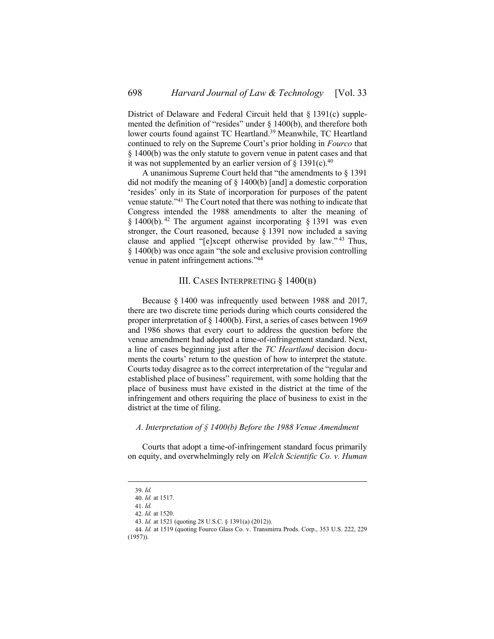District of Delaware and Federal Circuit held that § 1391(c) supplemented the definition of "resides" under § 1400(b), and therefore both lower courts found against TC Heartland.<sup>39</sup> Meanwhile, TC Heartland continued to rely on the Supreme Court's prior holding in *Fourco* that § 1400(b) was the only statute to govern venue in patent cases and that it was not supplemented by an earlier version of  $\S$  1391(c).<sup>40</sup>

A unanimous Supreme Court held that "the amendments to § 1391 did not modify the meaning of § 1400(b) [and] a domestic corporation 'resides' only in its State of incorporation for purposes of the patent venue statute."<sup>41</sup> The Court noted that there was nothing to indicate that Congress intended the 1988 amendments to alter the meaning of § 1400(b). <sup>42</sup> The argument against incorporating § 1391 was even stronger, the Court reasoned, because § 1391 now included a saving clause and applied "[e]xcept otherwise provided by law."<sup>43</sup> Thus, § 1400(b) was once again "the sole and exclusive provision controlling venue in patent infringement actions."<sup>44</sup>

## III. CASES INTERPRETING § 1400(B)

<span id="page-5-0"></span>Because § 1400 was infrequently used between 1988 and 2017, there are two discrete time periods during which courts considered the proper interpretation of § 1400(b). First, a series of cases between 1969 and 1986 shows that every court to address the question before the venue amendment had adopted a time-of-infringement standard. Next, a line of cases beginning just after the *TC Heartland* decision documents the courts' return to the question of how to interpret the statute. Courts today disagree as to the correct interpretation of the "regular and established place of business" requirement, with some holding that the place of business must have existed in the district at the time of the infringement and others requiring the place of business to exist in the district at the time of filing.

### <span id="page-5-1"></span>*A. Interpretation of § 1400(b) Before the 1988 Venue Amendment*

Courts that adopt a time-of-infringement standard focus primarily on equity, and overwhelmingly rely on *Welch Scientific Co. v. Human* 

<sup>39.</sup> *Id.*

<sup>40.</sup> *Id.* at 1517.

<sup>41.</sup> *Id.*

<sup>42.</sup> *Id.* at 1520.

<sup>43.</sup> *Id.* at 1521 (quoting 28 U.S.C. § 1391(a) (2012)).

<sup>44.</sup> *Id.* at 1519 (quoting Fourco Glass Co. v. Transmirra Prods. Corp., 353 U.S. 222, 229 (1957)).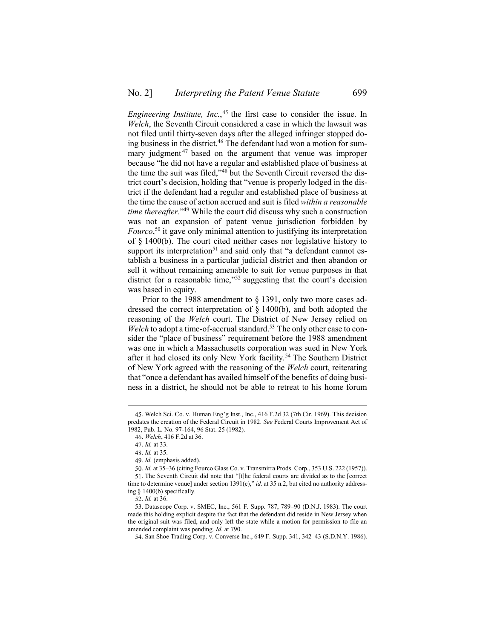*Engineering Institute, Inc.*, <sup>45</sup> the first case to consider the issue. In *Welch*, the Seventh Circuit considered a case in which the lawsuit was not filed until thirty-seven days after the alleged infringer stopped doing business in the district.<sup>46</sup> The defendant had won a motion for summary judgment<sup>47</sup> based on the argument that venue was improper because "he did not have a regular and established place of business at the time the suit was filed," <sup>48</sup> but the Seventh Circuit reversed the district court's decision, holding that "venue is properly lodged in the district if the defendant had a regular and established place of business at the time the cause of action accrued and suit is filed *within a reasonable time thereafter*." <sup>49</sup> While the court did discuss why such a construction was not an expansion of patent venue jurisdiction forbidden by *Fourco*, <sup>50</sup> it gave only minimal attention to justifying its interpretation of § 1400(b). The court cited neither cases nor legislative history to support its interpretation<sup>51</sup> and said only that "a defendant cannot establish a business in a particular judicial district and then abandon or sell it without remaining amenable to suit for venue purposes in that district for a reasonable time," <sup>52</sup> suggesting that the court's decision was based in equity.

Prior to the 1988 amendment to § 1391, only two more cases addressed the correct interpretation of § 1400(b), and both adopted the reasoning of the *Welch* court. The District of New Jersey relied on *Welch* to adopt a time-of-accrual standard.<sup>53</sup> The only other case to consider the "place of business" requirement before the 1988 amendment was one in which a Massachusetts corporation was sued in New York after it had closed its only New York facility.<sup>54</sup> The Southern District of New York agreed with the reasoning of the *Welch* court, reiterating that "once a defendant has availed himself of the benefits of doing business in a district, he should not be able to retreat to his home forum

<sup>45.</sup> Welch Sci. Co. v. Human Eng'g Inst., Inc., 416 F.2d 32 (7th Cir. 1969). This decision predates the creation of the Federal Circuit in 1982. *See* Federal Courts Improvement Act of 1982, Pub. L. No. 97-164, 96 Stat. 25 (1982).

<sup>46.</sup> *Welch*, 416 F.2d at 36.

<sup>47.</sup> *Id.* at 33.

<sup>48.</sup> *Id.* at 35.

<sup>49.</sup> *Id.* (emphasis added).

<sup>50.</sup> *Id.* at 35–36 (citing Fourco Glass Co. v. Transmirra Prods. Corp., 353 U.S. 222 (1957)).

<sup>51.</sup> The Seventh Circuit did note that "[t]he federal courts are divided as to the [correct time to determine venue] under section 1391(c)," *id.* at 35 n.2, but cited no authority addressing § 1400(b) specifically.

<sup>52.</sup> *Id.* at 36.

<sup>53.</sup> Datascope Corp. v. SMEC, Inc., 561 F. Supp. 787, 789–90 (D.N.J. 1983). The court made this holding explicit despite the fact that the defendant did reside in New Jersey when the original suit was filed, and only left the state while a motion for permission to file an amended complaint was pending. *Id.* at 790.

<sup>54.</sup> San Shoe Trading Corp. v. Converse Inc., 649 F. Supp. 341, 342–43 (S.D.N.Y. 1986).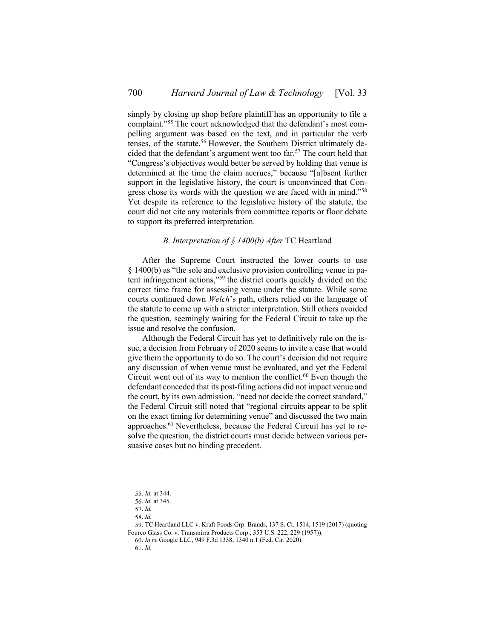simply by closing up shop before plaintiff has an opportunity to file a complaint." <sup>55</sup> The court acknowledged that the defendant's most compelling argument was based on the text, and in particular the verb tenses, of the statute.<sup>56</sup> However, the Southern District ultimately decided that the defendant's argument went too far.<sup>57</sup> The court held that "Congress's objectives would better be served by holding that venue is determined at the time the claim accrues," because "[a]bsent further support in the legislative history, the court is unconvinced that Congress chose its words with the question we are faced with in mind."<sup>58</sup> Yet despite its reference to the legislative history of the statute, the court did not cite any materials from committee reports or floor debate to support its preferred interpretation.

## *B. Interpretation of § 1400(b) After* TC Heartland

<span id="page-7-0"></span>After the Supreme Court instructed the lower courts to use § 1400(b) as "the sole and exclusive provision controlling venue in patent infringement actions," <sup>59</sup> the district courts quickly divided on the correct time frame for assessing venue under the statute. While some courts continued down *Welch*'s path, others relied on the language of the statute to come up with a stricter interpretation. Still others avoided the question, seemingly waiting for the Federal Circuit to take up the issue and resolve the confusion.

Although the Federal Circuit has yet to definitively rule on the issue, a decision from February of 2020 seems to invite a case that would give them the opportunity to do so. The court's decision did not require any discussion of when venue must be evaluated, and yet the Federal Circuit went out of its way to mention the conflict. $60$  Even though the defendant conceded that its post-filing actions did not impact venue and the court, by its own admission, "need not decide the correct standard," the Federal Circuit still noted that "regional circuits appear to be split on the exact timing for determining venue" and discussed the two main approaches.<sup>61</sup> Nevertheless, because the Federal Circuit has yet to resolve the question, the district courts must decide between various persuasive cases but no binding precedent.

<sup>55.</sup> *Id.* at 344.

<sup>56.</sup> *Id.* at 345.

<sup>57.</sup> *Id.*

<sup>58.</sup> *Id.*

<sup>59.</sup> TC Heartland LLC v. Kraft Foods Grp. Brands, 137 S. Ct. 1514, 1519 (2017) (quoting Fourco Glass Co. v. Transmirra Products Corp., 353 U.S. 222, 229 (1957)).

<sup>60.</sup> *In re* Google LLC, 949 F.3d 1338, 1340 n.1 (Fed. Cir. 2020).

<sup>61.</sup> *Id.*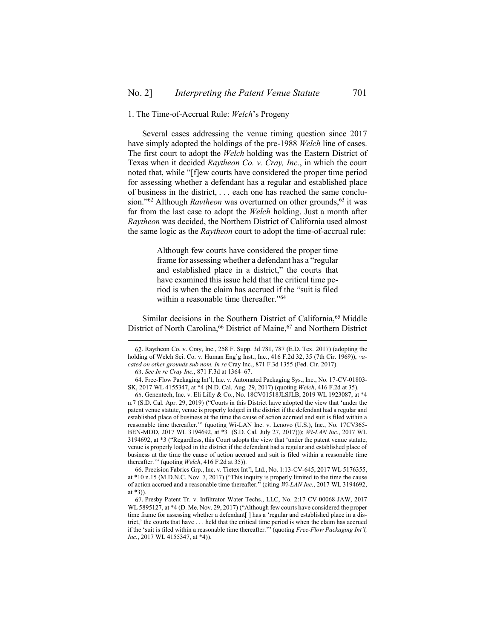#### <span id="page-8-0"></span>1. The Time-of-Accrual Rule: *Welch*'s Progeny

Several cases addressing the venue timing question since 2017 have simply adopted the holdings of the pre-1988 *Welch* line of cases. The first court to adopt the *Welch* holding was the Eastern District of Texas when it decided *Raytheon Co. v. Cray, Inc.*, in which the court noted that, while "[f]ew courts have considered the proper time period for assessing whether a defendant has a regular and established place of business in the district, . . . each one has reached the same conclusion."<sup>62</sup> Although *Raytheon* was overturned on other grounds,<sup>63</sup> it was far from the last case to adopt the *Welch* holding. Just a month after *Raytheon* was decided, the Northern District of California used almost the same logic as the *Raytheon* court to adopt the time-of-accrual rule:

> Although few courts have considered the proper time frame for assessing whether a defendant has a "regular and established place in a district," the courts that have examined this issue held that the critical time period is when the claim has accrued if the "suit is filed within a reasonable time thereafter." 64

Similar decisions in the Southern District of California,<sup>65</sup> Middle District of North Carolina,<sup>66</sup> District of Maine,<sup>67</sup> and Northern District

 $\overline{a}$ 

66. Precision Fabrics Grp., Inc. v. Tietex Int'l, Ltd., No. 1:13-CV-645, 2017 WL 5176355, at \*10 n.15 (M.D.N.C. Nov. 7, 2017) ("This inquiry is properly limited to the time the cause of action accrued and a reasonable time thereafter." (citing *Wi-LAN Inc.*, 2017 WL 3194692, at \*3)).

<sup>62.</sup> Raytheon Co. v. Cray, Inc., 258 F. Supp. 3d 781, 787 (E.D. Tex. 2017) (adopting the holding of Welch Sci. Co. v. Human Eng'g Inst., Inc., 416 F.2d 32, 35 (7th Cir. 1969)), *vacated on other grounds sub nom. In re* Cray Inc., 871 F.3d 1355 (Fed. Cir. 2017).

<sup>63.</sup> *See In re Cray Inc.*, 871 F.3d at 1364–67.

<sup>64.</sup> Free-Flow Packaging Int'l, Inc. v. Automated Packaging Sys., Inc., No. 17-CV-01803- SK, 2017 WL 4155347, at \*4 (N.D. Cal. Aug. 29, 2017) (quoting *Welch*, 416 F.2d at 35).

<sup>65.</sup> Genentech, Inc. v. Eli Lilly & Co., No. 18CV01518JLSJLB, 2019 WL 1923087, at \*4 n.7 (S.D. Cal. Apr. 29, 2019) ("Courts in this District have adopted the view that 'under the patent venue statute, venue is properly lodged in the district if the defendant had a regular and established place of business at the time the cause of action accrued and suit is filed within a reasonable time thereafter."" (quoting Wi-LAN Inc. v. Lenovo (U.S.), Inc., No. 17CV365-BEN-MDD, 2017 WL 3194692, at \*3 (S.D. Cal. July 27, 2017))); *Wi-LAN Inc.*, 2017 WL 3194692, at \*3 ("Regardless, this Court adopts the view that 'under the patent venue statute, venue is properly lodged in the district if the defendant had a regular and established place of business at the time the cause of action accrued and suit is filed within a reasonable time thereafter.'" (quoting *Welch*, 416 F.2d at 35)).

<sup>67.</sup> Presby Patent Tr. v. Infiltrator Water Techs., LLC, No. 2:17-CV-00068-JAW, 2017 WL 5895127, at \*4 (D. Me. Nov. 29, 2017) ("Although few courts have considered the proper time frame for assessing whether a defendant[ ] has a 'regular and established place in a district,' the courts that have . . . held that the critical time period is when the claim has accrued if the 'suit is filed within a reasonable time thereafter.'" (quoting *Free-Flow Packaging Int'l, Inc.*, 2017 WL 4155347, at \*4)).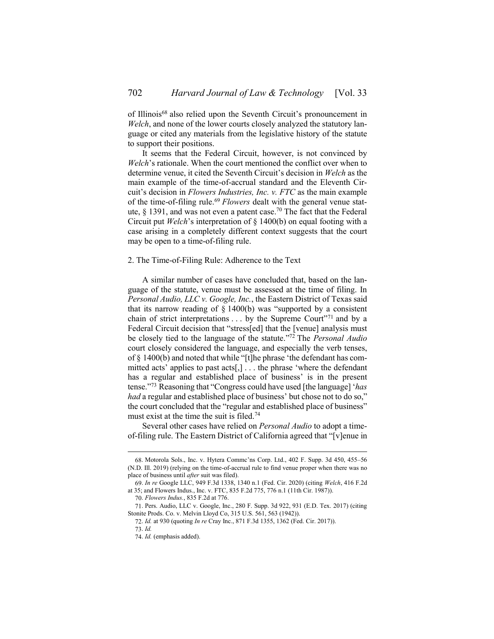of Illinois<sup>68</sup> also relied upon the Seventh Circuit's pronouncement in *Welch*, and none of the lower courts closely analyzed the statutory language or cited any materials from the legislative history of the statute to support their positions.

It seems that the Federal Circuit, however, is not convinced by *Welch*'s rationale. When the court mentioned the conflict over when to determine venue, it cited the Seventh Circuit's decision in *Welch* as the main example of the time-of-accrual standard and the Eleventh Circuit's decision in *Flowers Industries, Inc. v. FTC* as the main example of the time-of-filing rule.<sup>69</sup> *Flowers* dealt with the general venue statute,  $\S$  1391, and was not even a patent case.<sup>70</sup> The fact that the Federal Circuit put *Welch*'s interpretation of § 1400(b) on equal footing with a case arising in a completely different context suggests that the court may be open to a time-of-filing rule.

#### <span id="page-9-0"></span>2. The Time-of-Filing Rule: Adherence to the Text

A similar number of cases have concluded that, based on the language of the statute, venue must be assessed at the time of filing. In *Personal Audio, LLC v. Google, Inc.*, the Eastern District of Texas said that its narrow reading of  $\S$  1400(b) was "supported by a consistent chain of strict interpretations  $\dots$  by the Supreme Court<sup>"71</sup> and by a Federal Circuit decision that "stress[ed] that the [venue] analysis must be closely tied to the language of the statute." <sup>72</sup> The *Personal Audio*  court closely considered the language, and especially the verb tenses, of § 1400(b) and noted that while "[t]he phrase 'the defendant has committed acts' applies to past acts[,] . . . the phrase 'where the defendant has a regular and established place of business' is in the present tense." <sup>73</sup> Reasoning that "Congress could have used [the language] '*has had* a regular and established place of business' but chose not to do so," the court concluded that the "regular and established place of business" must exist at the time the suit is filed.<sup>74</sup>

Several other cases have relied on *Personal Audio* to adopt a timeof-filing rule. The Eastern District of California agreed that "[v]enue in

<sup>68.</sup> Motorola Sols., Inc. v. Hytera Commc'ns Corp. Ltd., 402 F. Supp. 3d 450, 455–56 (N.D. Ill. 2019) (relying on the time-of-accrual rule to find venue proper when there was no place of business until *after* suit was filed).

<sup>69.</sup> *In re* Google LLC, 949 F.3d 1338, 1340 n.1 (Fed. Cir. 2020) (citing *Welch*, 416 F.2d at 35; and Flowers Indus., Inc. v. FTC, 835 F.2d 775, 776 n.1 (11th Cir. 1987)).

<sup>70.</sup> *Flowers Indus.*, 835 F.2d at 776.

<sup>71.</sup> Pers. Audio, LLC v. Google, Inc., 280 F. Supp. 3d 922, 931 (E.D. Tex. 2017) (citing Stonite Prods. Co. v. Melvin Lloyd Co, 315 U.S. 561, 563 (1942)).

<sup>72.</sup> *Id.* at 930 (quoting *In re* Cray Inc., 871 F.3d 1355, 1362 (Fed. Cir. 2017)). 73. *Id.*

<sup>74.</sup> *Id.* (emphasis added).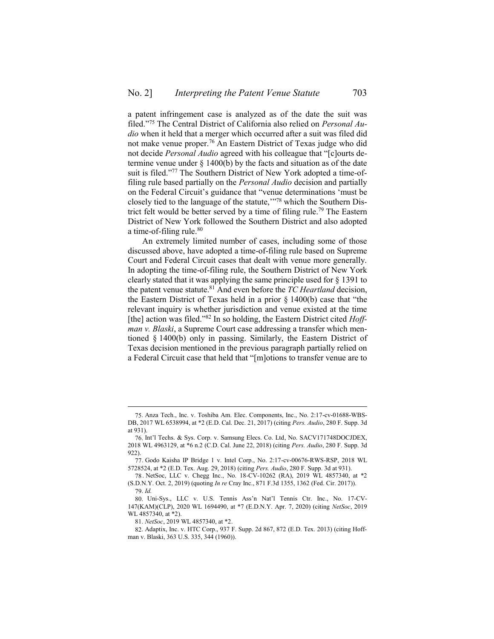a patent infringement case is analyzed as of the date the suit was filed." <sup>75</sup> The Central District of California also relied on *Personal Audio* when it held that a merger which occurred after a suit was filed did not make venue proper.<sup>76</sup> An Eastern District of Texas judge who did not decide *Personal Audio* agreed with his colleague that "[c]ourts determine venue under § 1400(b) by the facts and situation as of the date suit is filed."<sup>77</sup> The Southern District of New York adopted a time-offiling rule based partially on the *Personal Audio* decision and partially on the Federal Circuit's guidance that "venue determinations 'must be closely tied to the language of the statute,'" <sup>78</sup> which the Southern District felt would be better served by a time of filing rule.<sup>79</sup> The Eastern District of New York followed the Southern District and also adopted a time-of-filing rule.<sup>80</sup>

An extremely limited number of cases, including some of those discussed above, have adopted a time-of-filing rule based on Supreme Court and Federal Circuit cases that dealt with venue more generally. In adopting the time-of-filing rule, the Southern District of New York clearly stated that it was applying the same principle used for § 1391 to the patent venue statute.<sup>81</sup> And even before the *TC Heartland* decision, the Eastern District of Texas held in a prior § 1400(b) case that "the relevant inquiry is whether jurisdiction and venue existed at the time [the] action was filed."<sup>82</sup> In so holding, the Eastern District cited *Hoffman v. Blaski*, a Supreme Court case addressing a transfer which mentioned § 1400(b) only in passing. Similarly, the Eastern District of Texas decision mentioned in the previous paragraph partially relied on a Federal Circuit case that held that "[m]otions to transfer venue are to

 $\overline{a}$ 

81. *NetSoc*, 2019 WL 4857340, at \*2.

<sup>75.</sup> Anza Tech., Inc. v. Toshiba Am. Elec. Components, Inc., No. 2:17-cv-01688-WBS-DB, 2017 WL 6538994, at \*2 (E.D. Cal. Dec. 21, 2017) (citing *Pers. Audio*, 280 F. Supp. 3d at 931).

<sup>76.</sup> Int'l Techs. & Sys. Corp. v. Samsung Elecs. Co. Ltd, No. SACV171748DOCJDEX, 2018 WL 4963129, at \*6 n.2 (C.D. Cal. June 22, 2018) (citing *Pers. Audio*, 280 F. Supp. 3d 922).

<sup>77.</sup> Godo Kaisha IP Bridge 1 v. Intel Corp., No. 2:17-cv-00676-RWS-RSP, 2018 WL 5728524, at \*2 (E.D. Tex. Aug. 29, 2018) (citing *Pers. Audio*, 280 F. Supp. 3d at 931).

<sup>78</sup> . NetSoc, LLC v. Chegg Inc., No. 18-CV-10262 (RA), 2019 WL 4857340, at \*2 (S.D.N.Y. Oct. 2, 2019) (quoting *In re* Cray Inc., 871 F.3d 1355, 1362 (Fed. Cir. 2017)).

<sup>79.</sup> *Id.*

<sup>80.</sup> Uni-Sys., LLC v. U.S. Tennis Ass'n Nat'l Tennis Ctr. Inc., No. 17-CV-147(KAM)(CLP), 2020 WL 1694490, at \*7 (E.D.N.Y. Apr. 7, 2020) (citing *NetSoc*, 2019 WL 4857340, at \*2).

<sup>82.</sup> Adaptix, Inc. v. HTC Corp., 937 F. Supp. 2d 867, 872 (E.D. Tex. 2013) (citing Hoffman v. Blaski, 363 U.S. 335, 344 (1960)).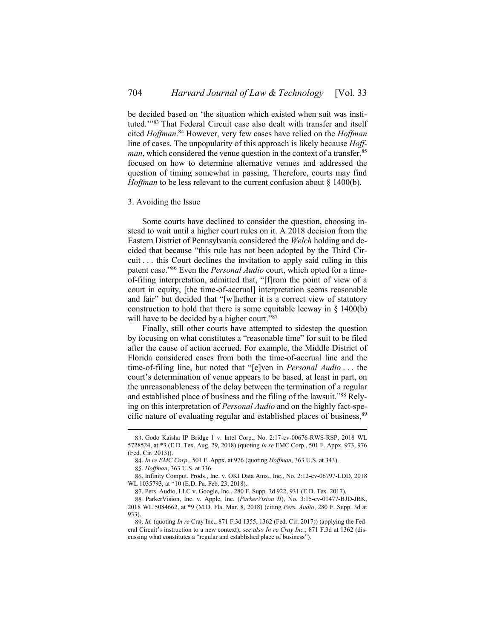be decided based on 'the situation which existed when suit was instituted.'" <sup>83</sup> That Federal Circuit case also dealt with transfer and itself cited *Hoffman*. <sup>84</sup> However, very few cases have relied on the *Hoffman*  line of cases. The unpopularity of this approach is likely because *Hoffman*, which considered the venue question in the context of a transfer,<sup>85</sup> focused on how to determine alternative venues and addressed the question of timing somewhat in passing. Therefore, courts may find *Hoffman* to be less relevant to the current confusion about § 1400(b).

#### <span id="page-11-0"></span>3. Avoiding the Issue

Some courts have declined to consider the question, choosing instead to wait until a higher court rules on it. A 2018 decision from the Eastern District of Pennsylvania considered the *Welch* holding and decided that because "this rule has not been adopted by the Third Circuit . . . this Court declines the invitation to apply said ruling in this patent case." <sup>86</sup> Even the *Personal Audio* court, which opted for a timeof-filing interpretation, admitted that, "[f]rom the point of view of a court in equity, [the time-of-accrual] interpretation seems reasonable and fair" but decided that "[w]hether it is a correct view of statutory construction to hold that there is some equitable leeway in  $\S$  1400(b) will have to be decided by a higher court."87

Finally, still other courts have attempted to sidestep the question by focusing on what constitutes a "reasonable time" for suit to be filed after the cause of action accrued. For example, the Middle District of Florida considered cases from both the time-of-accrual line and the time-of-filing line, but noted that "[e]ven in *Personal Audio* . . . the court's determination of venue appears to be based, at least in part, on the unreasonableness of the delay between the termination of a regular and established place of business and the filing of the lawsuit."<sup>88</sup> Relying on this interpretation of *Personal Audio* and on the highly fact-specific nature of evaluating regular and established places of business, <sup>89</sup>

<sup>83.</sup> Godo Kaisha IP Bridge 1 v. Intel Corp., No. 2:17-cv-00676-RWS-RSP, 2018 WL 5728524, at \*3 (E.D. Tex. Aug. 29, 2018) (quoting *In re* EMC Corp., 501 F. Appx. 973, 976 (Fed. Cir. 2013)).

<sup>84.</sup> *In re EMC Corp.*, 501 F. Appx. at 976 (quoting *Hoffman*, 363 U.S. at 343).

<sup>85.</sup> *Hoffman*, 363 U.S*.* at 336.

<sup>86.</sup> Infinity Comput. Prods., Inc. v. OKI Data Ams., Inc., No. 2:12-cv-06797-LDD, 2018 WL 1035793, at \*10 (E.D. Pa. Feb. 23, 2018).

<sup>87.</sup> Pers. Audio, LLC v. Google, Inc., 280 F. Supp. 3d 922, 931 (E.D. Tex. 2017).

<sup>88.</sup> ParkerVision, Inc. v. Apple, Inc. (*ParkerVision II*), No. 3:15-cv-01477-BJD-JRK, 2018 WL 5084662, at \*9 (M.D. Fla. Mar. 8, 2018) (citing *Pers. Audio*, 280 F. Supp. 3d at 933).

<sup>89.</sup> *Id.* (quoting *In re* Cray Inc., 871 F.3d 1355, 1362 (Fed. Cir. 2017)) (applying the Federal Circuit's instruction to a new context); *see also In re Cray Inc.*, 871 F.3d at 1362 (discussing what constitutes a "regular and established place of business").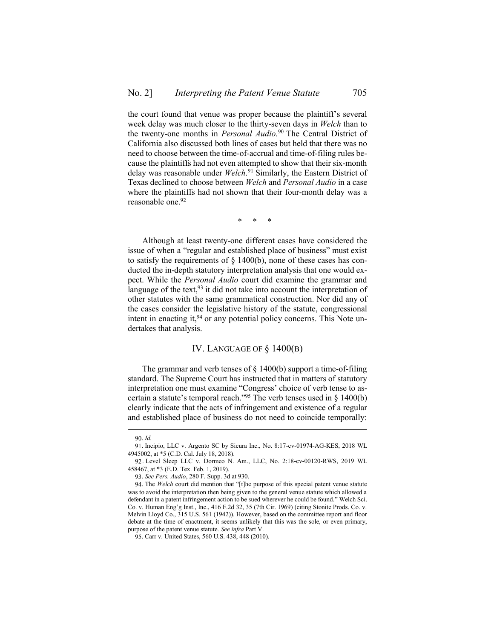the court found that venue was proper because the plaintiff's several week delay was much closer to the thirty-seven days in *Welch* than to the twenty-one months in *Personal Audio*. <sup>90</sup> The Central District of California also discussed both lines of cases but held that there was no need to choose between the time-of-accrual and time-of-filing rules because the plaintiffs had not even attempted to show that their six-month delay was reasonable under *Welch*. <sup>91</sup> Similarly, the Eastern District of Texas declined to choose between *Welch* and *Personal Audio* in a case where the plaintiffs had not shown that their four-month delay was a reasonable one.<sup>92</sup>

\* \* \*

Although at least twenty-one different cases have considered the issue of when a "regular and established place of business" must exist to satisfy the requirements of  $\S$  1400(b), none of these cases has conducted the in-depth statutory interpretation analysis that one would expect. While the *Personal Audio* court did examine the grammar and language of the text,  $93$  it did not take into account the interpretation of other statutes with the same grammatical construction. Nor did any of the cases consider the legislative history of the statute, congressional intent in enacting it,  $94$  or any potential policy concerns. This Note undertakes that analysis.

### IV. LANGUAGE OF § 1400(B)

<span id="page-12-0"></span>The grammar and verb tenses of  $\S$  1400(b) support a time-of-filing standard. The Supreme Court has instructed that in matters of statutory interpretation one must examine "Congress' choice of verb tense to ascertain a statute's temporal reach."<sup>95</sup> The verb tenses used in  $\S$  1400(b) clearly indicate that the acts of infringement and existence of a regular and established place of business do not need to coincide temporally:

<sup>90.</sup> *Id.*

<sup>91.</sup> Incipio, LLC v. Argento SC by Sicura Inc., No. 8:17-cv-01974-AG-KES, 2018 WL 4945002, at \*5 (C.D. Cal. July 18, 2018).

<sup>92.</sup> Level Sleep LLC v. Dormeo N. Am., LLC, No. 2:18-cv-00120-RWS, 2019 WL 458467, at \*3 (E.D. Tex. Feb. 1, 2019).

<sup>93.</sup> *See Pers. Audio*, 280 F. Supp. 3d at 930.

<sup>94.</sup> The *Welch* court did mention that "[t]he purpose of this special patent venue statute was to avoid the interpretation then being given to the general venue statute which allowed a defendant in a patent infringement action to be sued wherever he could be found." Welch Sci. Co. v. Human Eng'g Inst., Inc., 416 F.2d 32, 35 (7th Cir. 1969) (citing Stonite Prods. Co. v. Melvin Lloyd Co., 315 U.S. 561 (1942)). However, based on the committee report and floor debate at the time of enactment, it seems unlikely that this was the sole, or even primary, purpose of the patent venue statute. *See infra* Part [V.](#page-14-0)

<sup>95.</sup> Carr v. United States, 560 U.S. 438, 448 (2010).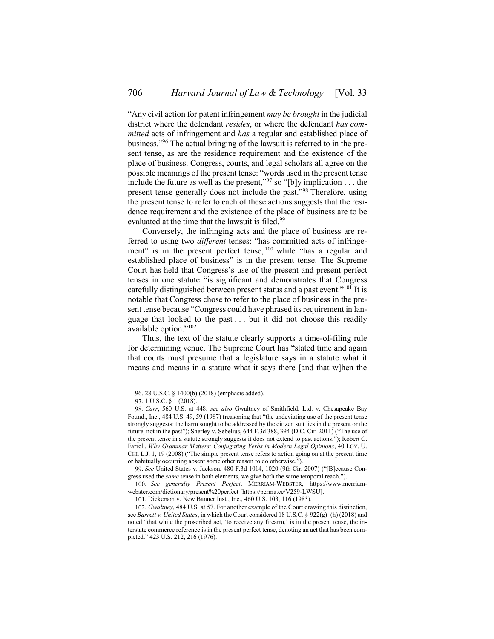"Any civil action for patent infringement *may be brought* in the judicial district where the defendant *resides*, or where the defendant *has committed* acts of infringement and *has* a regular and established place of business." <sup>96</sup> The actual bringing of the lawsuit is referred to in the present tense, as are the residence requirement and the existence of the place of business. Congress, courts, and legal scholars all agree on the possible meanings of the present tense: "words used in the present tense include the future as well as the present,<sup> $\frac{97}{7}$ </sup> so "[b]y implication . . . the present tense generally does not include the past."<sup>98</sup> Therefore, using the present tense to refer to each of these actions suggests that the residence requirement and the existence of the place of business are to be evaluated at the time that the lawsuit is filed.<sup>99</sup>

Conversely, the infringing acts and the place of business are referred to using two *different* tenses: "has committed acts of infringement" is in the present perfect tense, <sup>100</sup> while "has a regular and established place of business" is in the present tense. The Supreme Court has held that Congress's use of the present and present perfect tenses in one statute "is significant and demonstrates that Congress carefully distinguished between present status and a past event."<sup>101</sup> It is notable that Congress chose to refer to the place of business in the present tense because "Congress could have phrased its requirement in language that looked to the past . . . but it did not choose this readily available option." 102

Thus, the text of the statute clearly supports a time-of-filing rule for determining venue. The Supreme Court has "stated time and again that courts must presume that a legislature says in a statute what it means and means in a statute what it says there [and that w]hen the

 $\overline{a}$ 

100. *See generally Present Perfect*, MERRIAM-WEBSTER, https://www.merriamwebster.com/dictionary/present%20perfect [https://perma.cc/V259-LWSU].

<sup>96.</sup> 28 U.S.C. § 1400(b) (2018) (emphasis added).

<sup>97.</sup> 1 U.S.C. § 1 (2018).

<sup>98.</sup> *Carr*, 560 U.S. at 448; *see also* Gwaltney of Smithfield, Ltd. v. Chesapeake Bay Found., Inc., 484 U.S. 49, 59 (1987) (reasoning that "the undeviating use of the present tense strongly suggests: the harm sought to be addressed by the citizen suit lies in the present or the future, not in the past"); Sherley v. Sebelius, 644 F.3d 388, 394 (D.C. Cir. 2011) ("The use of the present tense in a statute strongly suggests it does not extend to past actions."); Robert C. Farrell, *Why Grammar Matters: Conjugating Verbs in Modern Legal Opinions*, 40 LOY. U. CHI. L.J. 1, 19 (2008) ("The simple present tense refers to action going on at the present time or habitually occurring absent some other reason to do otherwise.").

<sup>99.</sup> *See* United States v. Jackson, 480 F.3d 1014, 1020 (9th Cir. 2007) ("[B]ecause Congress used the *same* tense in both elements, we give both the same temporal reach.").

<sup>101.</sup> Dickerson v. New Banner Inst., Inc., 460 U.S. 103, 116 (1983).

<sup>102.</sup> *Gwaltney*, 484 U.S. at 57. For another example of the Court drawing this distinction, see *Barrett v. United States*, in which the Court considered 18 U.S.C. § 922(g)–(h) (2018) and noted "that while the proscribed act, 'to receive any firearm,' is in the present tense, the interstate commerce reference is in the present perfect tense, denoting an act that has been completed." 423 U.S. 212, 216 (1976).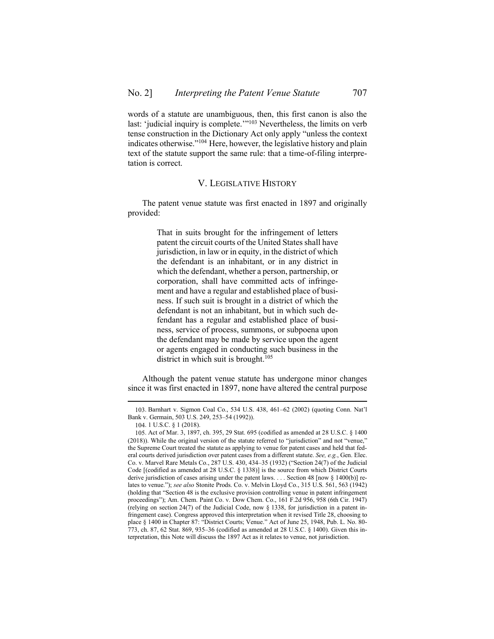words of a statute are unambiguous, then, this first canon is also the last: 'judicial inquiry is complete.'"<sup>103</sup> Nevertheless, the limits on verb tense construction in the Dictionary Act only apply "unless the context indicates otherwise."<sup>104</sup> Here, however, the legislative history and plain text of the statute support the same rule: that a time-of-filing interpretation is correct.

### V. LEGISLATIVE HISTORY

<span id="page-14-0"></span>The patent venue statute was first enacted in 1897 and originally provided:

> That in suits brought for the infringement of letters patent the circuit courts of the United States shall have jurisdiction, in law or in equity, in the district of which the defendant is an inhabitant, or in any district in which the defendant, whether a person, partnership, or corporation, shall have committed acts of infringement and have a regular and established place of business. If such suit is brought in a district of which the defendant is not an inhabitant, but in which such defendant has a regular and established place of business, service of process, summons, or subpoena upon the defendant may be made by service upon the agent or agents engaged in conducting such business in the district in which suit is brought.<sup>105</sup>

Although the patent venue statute has undergone minor changes since it was first enacted in 1897, none have altered the central purpose

<sup>103.</sup> Barnhart v. Sigmon Coal Co., 534 U.S. 438, 461–62 (2002) (quoting Conn. Nat'l Bank v. Germain, 503 U.S. 249, 253–54 (1992)).

<sup>104.</sup> 1 U.S.C. § 1 (2018).

<sup>105.</sup> Act of Mar. 3, 1897, ch. 395, 29 Stat. 695 (codified as amended at 28 U.S.C. § 1400 (2018)). While the original version of the statute referred to "jurisdiction" and not "venue," the Supreme Court treated the statute as applying to venue for patent cases and held that federal courts derived jurisdiction over patent cases from a different statute. *See, e.g.*, Gen. Elec. Co. v. Marvel Rare Metals Co., 287 U.S. 430, 434–35 (1932) ("Section 24(7) of the Judicial Code [(codified as amended at 28 U.S.C. § 1338)] is the source from which District Courts derive jurisdiction of cases arising under the patent laws. . . . Section 48 [now § 1400(b)] relates to venue."); *see also* Stonite Prods. Co. v. Melvin Lloyd Co., 315 U.S. 561, 563 (1942) (holding that "Section 48 is the exclusive provision controlling venue in patent infringement proceedings"); Am. Chem. Paint Co. v. Dow Chem. Co., 161 F.2d 956, 958 (6th Cir. 1947) (relying on section 24(7) of the Judicial Code, now  $\S$  1338, for jurisdiction in a patent infringement case). Congress approved this interpretation when it revised Title 28, choosing to place § 1400 in Chapter 87: "District Courts; Venue." Act of June 25, 1948, Pub. L. No. 80- 773, ch. 87, 62 Stat. 869, 935–36 (codified as amended at 28 U.S.C. § 1400). Given this interpretation, this Note will discuss the 1897 Act as it relates to venue, not jurisdiction.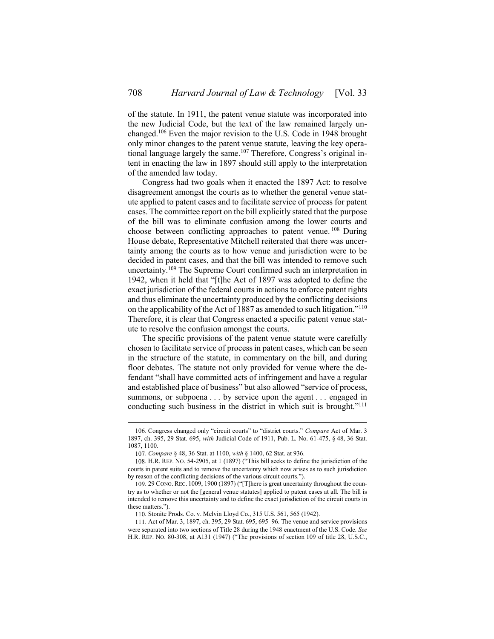of the statute. In 1911, the patent venue statute was incorporated into the new Judicial Code, but the text of the law remained largely unchanged.<sup>106</sup> Even the major revision to the U.S. Code in 1948 brought only minor changes to the patent venue statute, leaving the key operational language largely the same.<sup>107</sup> Therefore, Congress's original intent in enacting the law in 1897 should still apply to the interpretation of the amended law today.

Congress had two goals when it enacted the 1897 Act: to resolve disagreement amongst the courts as to whether the general venue statute applied to patent cases and to facilitate service of process for patent cases. The committee report on the bill explicitly stated that the purpose of the bill was to eliminate confusion among the lower courts and choose between conflicting approaches to patent venue. <sup>108</sup> During House debate, Representative Mitchell reiterated that there was uncertainty among the courts as to how venue and jurisdiction were to be decided in patent cases, and that the bill was intended to remove such uncertainty.<sup>109</sup> The Supreme Court confirmed such an interpretation in 1942, when it held that "[t]he Act of 1897 was adopted to define the exact jurisdiction of the federal courts in actions to enforce patent rights and thus eliminate the uncertainty produced by the conflicting decisions on the applicability of the Act of 1887 as amended to such litigation."<sup>110</sup> Therefore, it is clear that Congress enacted a specific patent venue statute to resolve the confusion amongst the courts.

The specific provisions of the patent venue statute were carefully chosen to facilitate service of process in patent cases, which can be seen in the structure of the statute, in commentary on the bill, and during floor debates. The statute not only provided for venue where the defendant "shall have committed acts of infringement and have a regular and established place of business" but also allowed "service of process, summons, or subpoena . . . by service upon the agent . . . engaged in conducting such business in the district in which suit is brought."<sup>111</sup>

<sup>106.</sup> Congress changed only "circuit courts" to "district courts." *Compare* Act of Mar. 3 1897, ch. 395, 29 Stat. 695, *with* Judicial Code of 1911, Pub. L. No. 61-475, § 48, 36 Stat. 1087, 1100.

<sup>107.</sup> *Compare* § 48, 36 Stat. at 1100, *with* § 1400, 62 Stat. at 936.

<sup>108.</sup> H.R. REP. NO. 54-2905, at 1 (1897) ("This bill seeks to define the jurisdiction of the courts in patent suits and to remove the uncertainty which now arises as to such jurisdiction by reason of the conflicting decisions of the various circuit courts.").

<sup>109.</sup> 29 CONG. REC. 1009, 1900 (1897) ("[T]here is great uncertainty throughout the country as to whether or not the [general venue statutes] applied to patent cases at all. The bill is intended to remove this uncertainty and to define the exact jurisdiction of the circuit courts in these matters.").

<sup>110.</sup> Stonite Prods. Co. v. Melvin Lloyd Co., 315 U.S. 561, 565 (1942).

<sup>111.</sup> Act of Mar. 3, 1897, ch. 395, 29 Stat. 695, 695–96. The venue and service provisions were separated into two sections of Title 28 during the 1948 enactment of the U.S. Code. *See* H.R. REP. NO. 80-308, at A131 (1947) ("The provisions of section 109 of title 28, U.S.C.,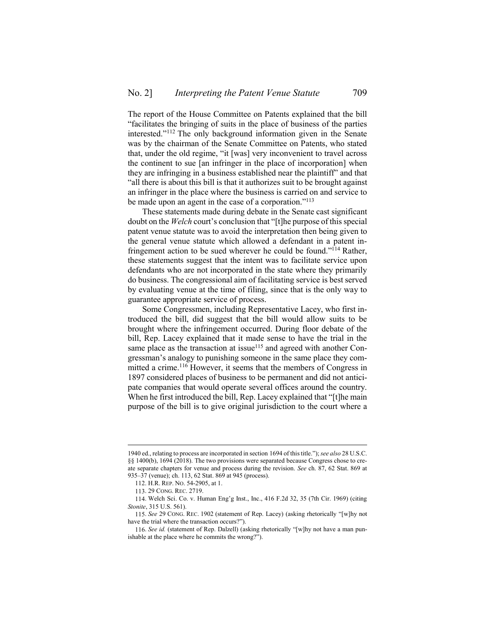The report of the House Committee on Patents explained that the bill "facilitates the bringing of suits in the place of business of the parties interested." <sup>112</sup> The only background information given in the Senate was by the chairman of the Senate Committee on Patents, who stated that, under the old regime, "it [was] very inconvenient to travel across the continent to sue [an infringer in the place of incorporation] when they are infringing in a business established near the plaintiff" and that "all there is about this bill is that it authorizes suit to be brought against an infringer in the place where the business is carried on and service to be made upon an agent in the case of a corporation."<sup>113</sup>

These statements made during debate in the Senate cast significant doubt on the *Welch* court's conclusion that "[t]he purpose of this special patent venue statute was to avoid the interpretation then being given to the general venue statute which allowed a defendant in a patent infringement action to be sued wherever he could be found."<sup>114</sup> Rather, these statements suggest that the intent was to facilitate service upon defendants who are not incorporated in the state where they primarily do business. The congressional aim of facilitating service is best served by evaluating venue at the time of filing, since that is the only way to guarantee appropriate service of process.

Some Congressmen, including Representative Lacey, who first introduced the bill, did suggest that the bill would allow suits to be brought where the infringement occurred. During floor debate of the bill, Rep. Lacey explained that it made sense to have the trial in the same place as the transaction at issue<sup>115</sup> and agreed with another Congressman's analogy to punishing someone in the same place they committed a crime.<sup>116</sup> However, it seems that the members of Congress in 1897 considered places of business to be permanent and did not anticipate companies that would operate several offices around the country. When he first introduced the bill, Rep. Lacey explained that "[t]he main purpose of the bill is to give original jurisdiction to the court where a

<sup>1940</sup> ed., relating to process are incorporated in section 1694 of this title."); *see also* 28 U.S.C. §§ 1400(b), 1694 (2018). The two provisions were separated because Congress chose to create separate chapters for venue and process during the revision. *See* ch. 87, 62 Stat. 869 at 935–37 (venue); ch. 113, 62 Stat. 869 at 945 (process).

<sup>112.</sup> H.R. REP. NO. 54-2905, at 1.

<sup>113.</sup> 29 CONG. REC. 2719.

<sup>114.</sup> Welch Sci. Co. v. Human Eng'g Inst., Inc., 416 F.2d 32, 35 (7th Cir. 1969) (citing *Stonite*, 315 U.S. 561).

<sup>115.</sup> *See* 29 CONG. REC. 1902 (statement of Rep. Lacey) (asking rhetorically "[w]hy not have the trial where the transaction occurs?").

<sup>116.</sup> *See id.* (statement of Rep. Dalzell) (asking rhetorically "[w]hy not have a man punishable at the place where he commits the wrong?").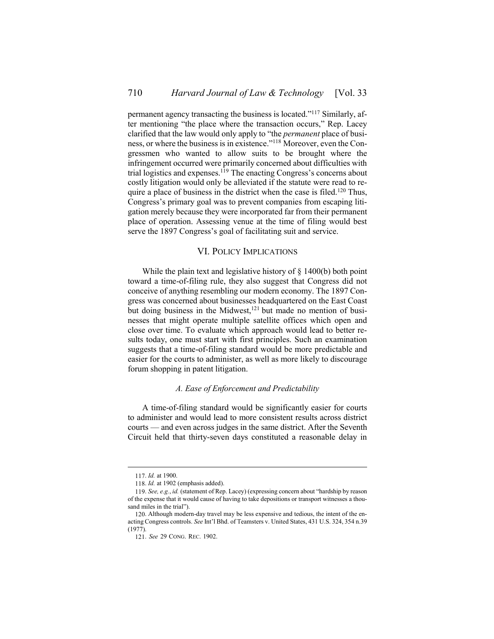permanent agency transacting the business is located." <sup>117</sup> Similarly, after mentioning "the place where the transaction occurs," Rep. Lacey clarified that the law would only apply to "the *permanent* place of business, or where the business is in existence." <sup>118</sup> Moreover, even the Congressmen who wanted to allow suits to be brought where the infringement occurred were primarily concerned about difficulties with trial logistics and expenses.<sup>119</sup> The enacting Congress's concerns about costly litigation would only be alleviated if the statute were read to require a place of business in the district when the case is filed.<sup>120</sup> Thus, Congress's primary goal was to prevent companies from escaping litigation merely because they were incorporated far from their permanent place of operation. Assessing venue at the time of filing would best serve the 1897 Congress's goal of facilitating suit and service.

## VI. POLICY IMPLICATIONS

<span id="page-17-0"></span>While the plain text and legislative history of § 1400(b) both point toward a time-of-filing rule, they also suggest that Congress did not conceive of anything resembling our modern economy. The 1897 Congress was concerned about businesses headquartered on the East Coast but doing business in the Midwest,<sup>121</sup> but made no mention of businesses that might operate multiple satellite offices which open and close over time. To evaluate which approach would lead to better results today, one must start with first principles. Such an examination suggests that a time-of-filing standard would be more predictable and easier for the courts to administer, as well as more likely to discourage forum shopping in patent litigation.

## *A. Ease of Enforcement and Predictability*

<span id="page-17-1"></span>A time-of-filing standard would be significantly easier for courts to administer and would lead to more consistent results across district courts — and even across judges in the same district. After the Seventh Circuit held that thirty-seven days constituted a reasonable delay in

<sup>117.</sup> *Id.* at 1900.

<sup>118.</sup> *Id.* at 1902 (emphasis added).

<sup>119.</sup> *See, e.g.*, *id.* (statement of Rep. Lacey) (expressing concern about "hardship by reason of the expense that it would cause of having to take depositions or transport witnesses a thousand miles in the trial").

<sup>120.</sup> Although modern-day travel may be less expensive and tedious, the intent of the enacting Congress controls. *See* Int'l Bhd. of Teamsters v. United States, 431 U.S. 324, 354 n.39 (1977).

<sup>121.</sup> *See* 29 CONG. REC. 1902.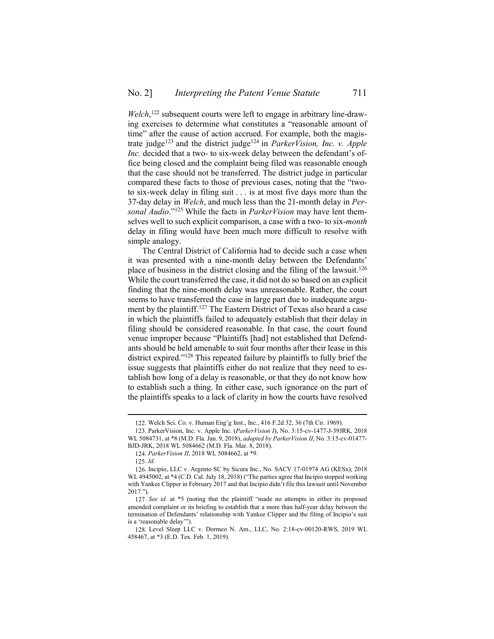Welch,<sup>122</sup> subsequent courts were left to engage in arbitrary line-drawing exercises to determine what constitutes a "reasonable amount of time" after the cause of action accrued. For example, both the magistrate judge<sup>123</sup> and the district judge<sup>124</sup> in *ParkerVision, Inc. v. Apple Inc.* decided that a two- to six-week delay between the defendant's office being closed and the complaint being filed was reasonable enough that the case should not be transferred. The district judge in particular compared these facts to those of previous cases, noting that the "twoto six-week delay in filing suit . . . is at most five days more than the 37-day delay in *Welch*, and much less than the 21-month delay in *Personal Audio*." <sup>125</sup> While the facts in *ParkerVision* may have lent themselves well to such explicit comparison, a case with a two- to six-*month* delay in filing would have been much more difficult to resolve with simple analogy.

The Central District of California had to decide such a case when it was presented with a nine-month delay between the Defendants' place of business in the district closing and the filing of the lawsuit.<sup>126</sup> While the court transferred the case, it did not do so based on an explicit finding that the nine-month delay was unreasonable. Rather, the court seems to have transferred the case in large part due to inadequate argument by the plaintiff.<sup>127</sup> The Eastern District of Texas also heard a case in which the plaintiffs failed to adequately establish that their delay in filing should be considered reasonable. In that case, the court found venue improper because "Plaintiffs [had] not established that Defendants should be held amenable to suit four months after their lease in this district expired." <sup>128</sup> This repeated failure by plaintiffs to fully brief the issue suggests that plaintiffs either do not realize that they need to establish how long of a delay is reasonable, or that they do not know how to establish such a thing. In either case, such ignorance on the part of the plaintiffs speaks to a lack of clarity in how the courts have resolved

<sup>122.</sup> Welch Sci. Co. v. Human Eng'g Inst., Inc., 416 F.2d 32, 36 (7th Cir. 1969).

<sup>123.</sup> ParkerVision, Inc. v. Apple Inc. (*ParkerVision I*), No. 3:15-cv-1477-J-39JRK, 2018 WL 5084731, at \*8 (M.D. Fla. Jan. 9, 2018), *adopted by ParkerVision II*, No. 3:15-cv-01477- BJD-JRK, 2018 WL 5084662 (M.D. Fla. Mar. 8, 2018).

<sup>124.</sup> *ParkerVision II*, 2018 WL 5084662, at \*9.

<sup>125.</sup> *Id.*

<sup>126.</sup> Incipio, LLC v. Argento SC by Sicura Inc., No. SACV 17-01974 AG (KESx), 2018 WL 4945002, at \*4 (C.D. Cal. July 18, 2018) ("The parties agree that Incipio stopped working with Yankee Clipper in February 2017 and that Incipio didn't file this lawsuit until November 2017.").

<sup>127.</sup> *See id.* at \*5 (noting that the plaintiff "made no attempts in either its proposed amended complaint or its briefing to establish that a more than half-year delay between the termination of Defendants' relationship with Yankee Clipper and the filing of Incipio's suit is a 'reasonable delay'").

<sup>128.</sup> Level Sleep LLC v. Dormeo N. Am., LLC, No. 2:18-cv-00120-RWS, 2019 WL 458467, at \*3 (E.D. Tex. Feb. 1, 2019).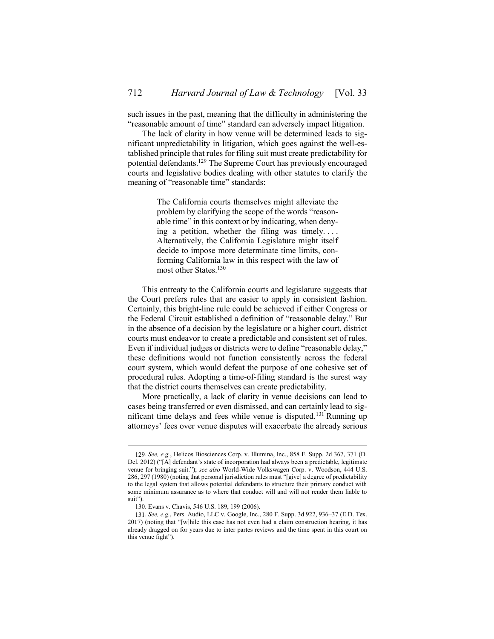such issues in the past, meaning that the difficulty in administering the "reasonable amount of time" standard can adversely impact litigation.

The lack of clarity in how venue will be determined leads to significant unpredictability in litigation, which goes against the well-established principle that rules for filing suit must create predictability for potential defendants.<sup>129</sup> The Supreme Court has previously encouraged courts and legislative bodies dealing with other statutes to clarify the meaning of "reasonable time" standards:

> The California courts themselves might alleviate the problem by clarifying the scope of the words "reasonable time" in this context or by indicating, when denying a petition, whether the filing was timely. . . . Alternatively, the California Legislature might itself decide to impose more determinate time limits, conforming California law in this respect with the law of most other States.<sup>130</sup>

This entreaty to the California courts and legislature suggests that the Court prefers rules that are easier to apply in consistent fashion. Certainly, this bright-line rule could be achieved if either Congress or the Federal Circuit established a definition of "reasonable delay." But in the absence of a decision by the legislature or a higher court, district courts must endeavor to create a predictable and consistent set of rules. Even if individual judges or districts were to define "reasonable delay," these definitions would not function consistently across the federal court system, which would defeat the purpose of one cohesive set of procedural rules. Adopting a time-of-filing standard is the surest way that the district courts themselves can create predictability.

More practically, a lack of clarity in venue decisions can lead to cases being transferred or even dismissed, and can certainly lead to significant time delays and fees while venue is disputed.<sup>131</sup> Running up attorneys' fees over venue disputes will exacerbate the already serious

<sup>129.</sup> *See, e.g.*, Helicos Biosciences Corp. v. Illumina, Inc., 858 F. Supp. 2d 367, 371 (D. Del. 2012) ("[A] defendant's state of incorporation had always been a predictable, legitimate venue for bringing suit."); *see also* World-Wide Volkswagen Corp. v. Woodson, 444 U.S. 286, 297 (1980) (noting that personal jurisdiction rules must "[give] a degree of predictability to the legal system that allows potential defendants to structure their primary conduct with some minimum assurance as to where that conduct will and will not render them liable to suit").

<sup>130.</sup> Evans v. Chavis, 546 U.S. 189, 199 (2006).

<sup>131.</sup> *See, e.g.*, Pers. Audio, LLC v. Google, Inc., 280 F. Supp. 3d 922, 936–37 (E.D. Tex. 2017) (noting that "[w]hile this case has not even had a claim construction hearing, it has already dragged on for years due to inter partes reviews and the time spent in this court on this venue fight").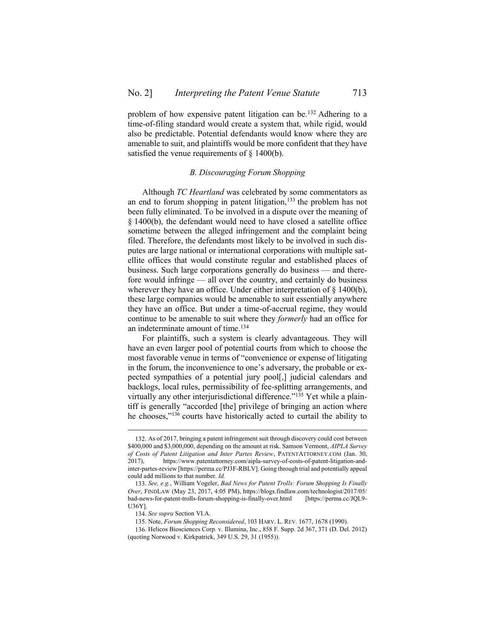problem of how expensive patent litigation can be.<sup>132</sup> Adhering to a time-of-filing standard would create a system that, while rigid, would also be predictable. Potential defendants would know where they are amenable to suit, and plaintiffs would be more confident that they have satisfied the venue requirements of § 1400(b).

## *B. Discouraging Forum Shopping*

<span id="page-20-0"></span>Although *TC Heartland* was celebrated by some commentators as an end to forum shopping in patent litigation, $133$  the problem has not been fully eliminated. To be involved in a dispute over the meaning of § 1400(b), the defendant would need to have closed a satellite office sometime between the alleged infringement and the complaint being filed. Therefore, the defendants most likely to be involved in such disputes are large national or international corporations with multiple satellite offices that would constitute regular and established places of business. Such large corporations generally do business — and therefore would infringe — all over the country, and certainly do business wherever they have an office. Under either interpretation of  $\delta$  1400(b), these large companies would be amenable to suit essentially anywhere they have an office. But under a time-of-accrual regime, they would continue to be amenable to suit where they *formerly* had an office for an indeterminate amount of time.<sup>134</sup>

<span id="page-20-1"></span>For plaintiffs, such a system is clearly advantageous. They will have an even larger pool of potential courts from which to choose the most favorable venue in terms of "convenience or expense of litigating in the forum, the inconvenience to one's adversary, the probable or expected sympathies of a potential jury pool[,] judicial calendars and backlogs, local rules, permissibility of fee-splitting arrangements, and virtually any other interjurisdictional difference."<sup>135</sup> Yet while a plaintiff is generally "accorded [the] privilege of bringing an action where he chooses," <sup>136</sup> courts have historically acted to curtail the ability to

<span id="page-20-2"></span><sup>132.</sup> As of 2017, bringing a patent infringement suit through discovery could cost between \$400,000 and \$3,000,000, depending on the amount at risk. Samson Vermont, *AIPLA Survey of Costs of Patent Litigation and Inter Partes Review*, PATENTATTORNEY.COM (Jan. 30, 2017), https://www.patentattorney.com/aipla-survey-of-costs-of-patent-litigation-andinter-partes-review [https://perma.cc/PJ3F-RBLV]. Going through trial and potentially appeal could add millions to that number. *Id.*

<sup>133.</sup> *See, e.g.*, William Vogeler, *Bad News for Patent Trolls: Forum Shopping Is Finally Over*, FINDLAW (May 23, 2017, 4:05 PM), https://blogs.findlaw.com/technologist/2017/05/ bad-news-for-patent-trolls-forum-shopping-is-finally-over.html [https://perma.cc/JQL9- U36Y].

<sup>134.</sup> *See supra* Section [VI](#page-17-0)[.A.](#page-17-1)

<sup>135.</sup> Note, *Forum Shopping Reconsidered*, 103 HARV. L. REV. 1677, 1678 (1990).

<sup>136.</sup> Helicos Biosciences Corp. v. Illumina, Inc., 858 F. Supp. 2d 367, 371 (D. Del. 2012) (quoting Norwood v. Kirkpatrick, 349 U.S. 29, 31 (1955)).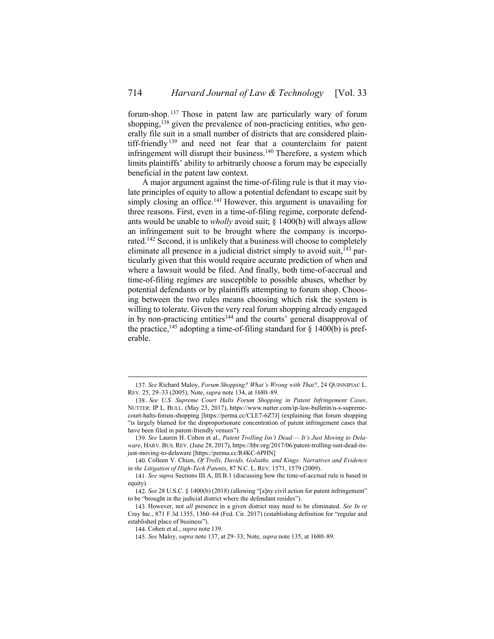<span id="page-21-1"></span><span id="page-21-0"></span>forum-shop. <sup>137</sup> Those in patent law are particularly wary of forum shopping,<sup>138</sup> given the prevalence of non-practicing entities, who generally file suit in a small number of districts that are considered plaintiff-friendly<sup>139</sup> and need not fear that a counterclaim for patent infringement will disrupt their business.<sup>140</sup> Therefore, a system which limits plaintiffs' ability to arbitrarily choose a forum may be especially beneficial in the patent law context.

A major argument against the time-of-filing rule is that it may violate principles of equity to allow a potential defendant to escape suit by simply closing an office.<sup>141</sup> However, this argument is unavailing for three reasons. First, even in a time-of-filing regime, corporate defendants would be unable to *wholly* avoid suit; § 1400(b) will always allow an infringement suit to be brought where the company is incorporated.<sup>142</sup> Second, it is unlikely that a business will choose to completely eliminate all presence in a judicial district simply to avoid suit,  $^{143}$  particularly given that this would require accurate prediction of when and where a lawsuit would be filed. And finally, both time-of-accrual and time-of-filing regimes are susceptible to possible abuses, whether by potential defendants or by plaintiffs attempting to forum shop. Choosing between the two rules means choosing which risk the system is willing to tolerate. Given the very real forum shopping already engaged in by non-practicing entities<sup>144</sup> and the courts' general disapproval of the practice,<sup>145</sup> adopting a time-of-filing standard for  $\S$  1400(b) is preferable.

<sup>137.</sup> *See* Richard Maloy, *Forum Shopping? What's Wrong with That?*, 24 QUINNIPIAC L. REV. 25, 29–33 (2005); Note, *supra* not[e 134,](#page-20-1) at 1680–89.

<sup>138</sup> . *See U.S. Supreme Court Halts Forum Shopping in Patent Infringement Cases*, NUTTER: IP L. BULL. (May 23, 2017), https://www.nutter.com/ip-law-bulletin/u-s-supremecourt-halts-forum-shopping [https://perma.cc/CLE7-6Z7J] (explaining that forum shopping "is largely blamed for the disproportionate concentration of patent infringement cases that have been filed in patent-friendly venues").

<sup>139.</sup> *See* Lauren H. Cohen et al., *Patent Trolling Isn't Dead — It's Just Moving to Delaware*, HARV. BUS. REV. (June 28, 2017), https://hbr.org/2017/06/patent-trolling-isnt-dead-itsjust-moving-to-delaware [https://perma.cc/R4KC-6PHN]

<sup>140.</sup> Colleen V. Chien, *Of Trolls, Davids, Goliaths, and Kings: Narratives and Evidence in the Litigation of High-Tech Patents*, 87 N.C. L. REV. 1571, 1579 (2009).

<sup>141.</sup> *See supra* Sections [III](#page-5-0)[.A,](#page-5-1) [III](#page-5-0)[.B](#page-7-0)[.1](#page-8-0) (discussing how the time-of-accrual rule is based in equity).

<sup>142.</sup> *See* 28 U.S.C. § 1400(b) (2018) (allowing "[a]ny civil action for patent infringement" to be "brought in the judicial district where the defendant resides").

<sup>143.</sup> However, not *all* presence in a given district may need to be eliminated. *See In re* Cray Inc., 871 F.3d 1355, 1360–64 (Fed. Cir. 2017) (establishing definition for "regular and established place of business").

<sup>144.</sup> Cohen et al., *supra* not[e 139.](#page-21-0)

<sup>145.</sup> *See* Maloy, *supra* not[e 137,](#page-21-1) at 29–33; Note, *supra* not[e 135,](#page-20-2) at 1680–89.